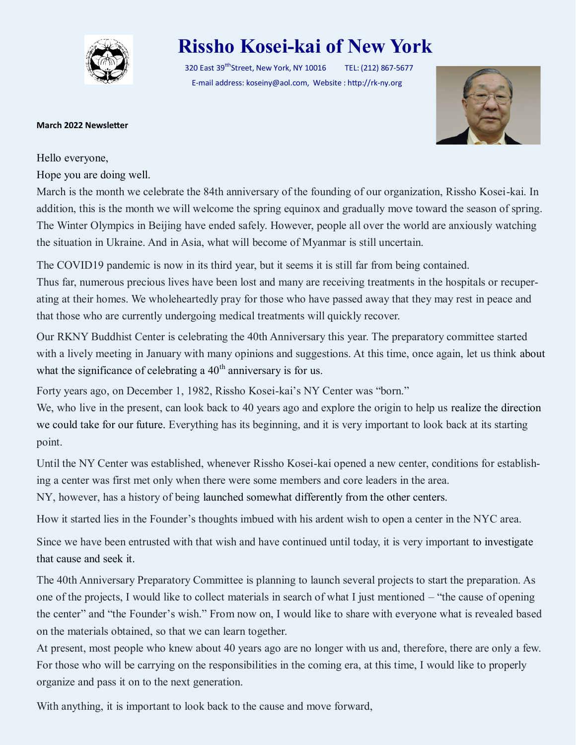

## **Rissho Kosei-kai of New York**

320 East 39<sup>tth</sup>Street, New York, NY 10016 TEL: (212) 867-5677 E-mail address: koseiny@aol.com, Website : http://rk-ny.org



## **March 2022 Newsletter**

Hello everyone,

Hope you are doing well.

March is the month we celebrate the 84th anniversary of the founding of our organization, Rissho Kosei-kai. In addition, this is the month we will welcome the spring equinox and gradually move toward the season of spring. The Winter Olympics in Beijing have ended safely. However, people all over the world are anxiously watching the situation in Ukraine. And in Asia, what will become of Myanmar is still uncertain.

The COVID19 pandemic is now in its third year, but it seems it is still far from being contained. Thus far, numerous precious lives have been lost and many are receiving treatments in the hospitals or recuperating at their homes. We wholeheartedly pray for those who have passed away that they may rest in peace and that those who are currently undergoing medical treatments will quickly recover.

Our RKNY Buddhist Center is celebrating the 40th Anniversary this year. The preparatory committee started with a lively meeting in January with many opinions and suggestions. At this time, once again, let us think about what the significance of celebrating a  $40<sup>th</sup>$  anniversary is for us.

Forty years ago, on December 1, 1982, Rissho Kosei-kai's NY Center was "born."

We, who live in the present, can look back to 40 years ago and explore the origin to help us realize the direction we could take for our future. Everything has its beginning, and it is very important to look back at its starting point.

Until the NY Center was established, whenever Rissho Kosei-kai opened a new center, conditions for establishing a center was first met only when there were some members and core leaders in the area.

NY, however, has a history of being launched somewhat differently from the other centers.

How it started lies in the Founder's thoughts imbued with his ardent wish to open a center in the NYC area.

Since we have been entrusted with that wish and have continued until today, it is very important to investigate that cause and seek it.

The 40th Anniversary Preparatory Committee is planning to launch several projects to start the preparation. As one of the projects, I would like to collect materials in search of what I just mentioned – "the cause of opening the center" and "the Founder's wish." From now on, I would like to share with everyone what is revealed based on the materials obtained, so that we can learn together.

At present, most people who knew about 40 years ago are no longer with us and, therefore, there are only a few. For those who will be carrying on the responsibilities in the coming era, at this time, I would like to properly organize and pass it on to the next generation.

With anything, it is important to look back to the cause and move forward,